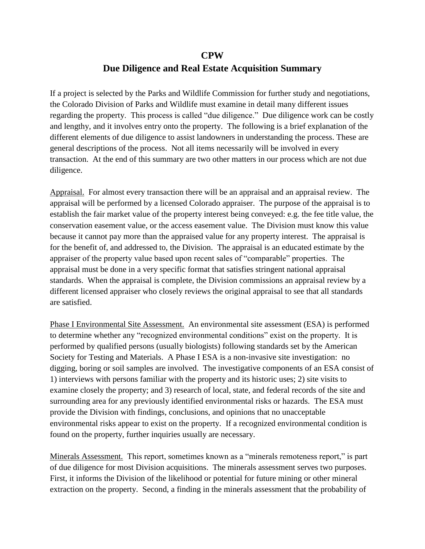## **CPW**

## **Due Diligence and Real Estate Acquisition Summary**

If a project is selected by the Parks and Wildlife Commission for further study and negotiations, the Colorado Division of Parks and Wildlife must examine in detail many different issues regarding the property. This process is called "due diligence." Due diligence work can be costly and lengthy, and it involves entry onto the property. The following is a brief explanation of the different elements of due diligence to assist landowners in understanding the process. These are general descriptions of the process. Not all items necessarily will be involved in every transaction. At the end of this summary are two other matters in our process which are not due diligence.

Appraisal. For almost every transaction there will be an appraisal and an appraisal review. The appraisal will be performed by a licensed Colorado appraiser. The purpose of the appraisal is to establish the fair market value of the property interest being conveyed: e.g. the fee title value, the conservation easement value, or the access easement value. The Division must know this value because it cannot pay more than the appraised value for any property interest. The appraisal is for the benefit of, and addressed to, the Division. The appraisal is an educated estimate by the appraiser of the property value based upon recent sales of "comparable" properties. The appraisal must be done in a very specific format that satisfies stringent national appraisal standards. When the appraisal is complete, the Division commissions an appraisal review by a different licensed appraiser who closely reviews the original appraisal to see that all standards are satisfied.

Phase I Environmental Site Assessment. An environmental site assessment (ESA) is performed to determine whether any "recognized environmental conditions" exist on the property. It is performed by qualified persons (usually biologists) following standards set by the American Society for Testing and Materials. A Phase I ESA is a non-invasive site investigation: no digging, boring or soil samples are involved. The investigative components of an ESA consist of 1) interviews with persons familiar with the property and its historic uses; 2) site visits to examine closely the property; and 3) research of local, state, and federal records of the site and surrounding area for any previously identified environmental risks or hazards. The ESA must provide the Division with findings, conclusions, and opinions that no unacceptable environmental risks appear to exist on the property. If a recognized environmental condition is found on the property, further inquiries usually are necessary.

Minerals Assessment. This report, sometimes known as a "minerals remoteness report," is part of due diligence for most Division acquisitions. The minerals assessment serves two purposes. First, it informs the Division of the likelihood or potential for future mining or other mineral extraction on the property. Second, a finding in the minerals assessment that the probability of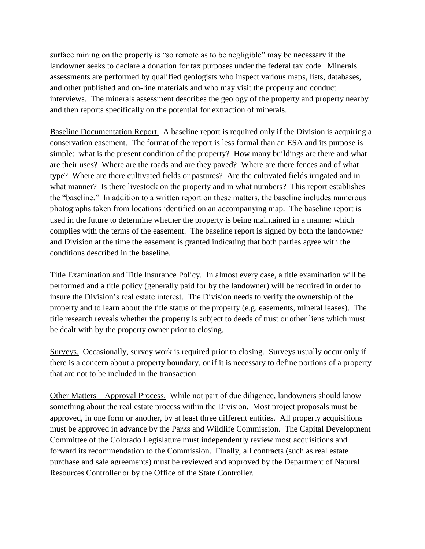surface mining on the property is "so remote as to be negligible" may be necessary if the landowner seeks to declare a donation for tax purposes under the federal tax code. Minerals assessments are performed by qualified geologists who inspect various maps, lists, databases, and other published and on-line materials and who may visit the property and conduct interviews. The minerals assessment describes the geology of the property and property nearby and then reports specifically on the potential for extraction of minerals.

Baseline Documentation Report. A baseline report is required only if the Division is acquiring a conservation easement. The format of the report is less formal than an ESA and its purpose is simple: what is the present condition of the property? How many buildings are there and what are their uses? Where are the roads and are they paved? Where are there fences and of what type? Where are there cultivated fields or pastures? Are the cultivated fields irrigated and in what manner? Is there livestock on the property and in what numbers? This report establishes the "baseline." In addition to a written report on these matters, the baseline includes numerous photographs taken from locations identified on an accompanying map. The baseline report is used in the future to determine whether the property is being maintained in a manner which complies with the terms of the easement. The baseline report is signed by both the landowner and Division at the time the easement is granted indicating that both parties agree with the conditions described in the baseline.

Title Examination and Title Insurance Policy. In almost every case, a title examination will be performed and a title policy (generally paid for by the landowner) will be required in order to insure the Division's real estate interest. The Division needs to verify the ownership of the property and to learn about the title status of the property (e.g. easements, mineral leases). The title research reveals whether the property is subject to deeds of trust or other liens which must be dealt with by the property owner prior to closing.

Surveys. Occasionally, survey work is required prior to closing. Surveys usually occur only if there is a concern about a property boundary, or if it is necessary to define portions of a property that are not to be included in the transaction.

Other Matters – Approval Process. While not part of due diligence, landowners should know something about the real estate process within the Division. Most project proposals must be approved, in one form or another, by at least three different entities. All property acquisitions must be approved in advance by the Parks and Wildlife Commission. The Capital Development Committee of the Colorado Legislature must independently review most acquisitions and forward its recommendation to the Commission. Finally, all contracts (such as real estate purchase and sale agreements) must be reviewed and approved by the Department of Natural Resources Controller or by the Office of the State Controller.